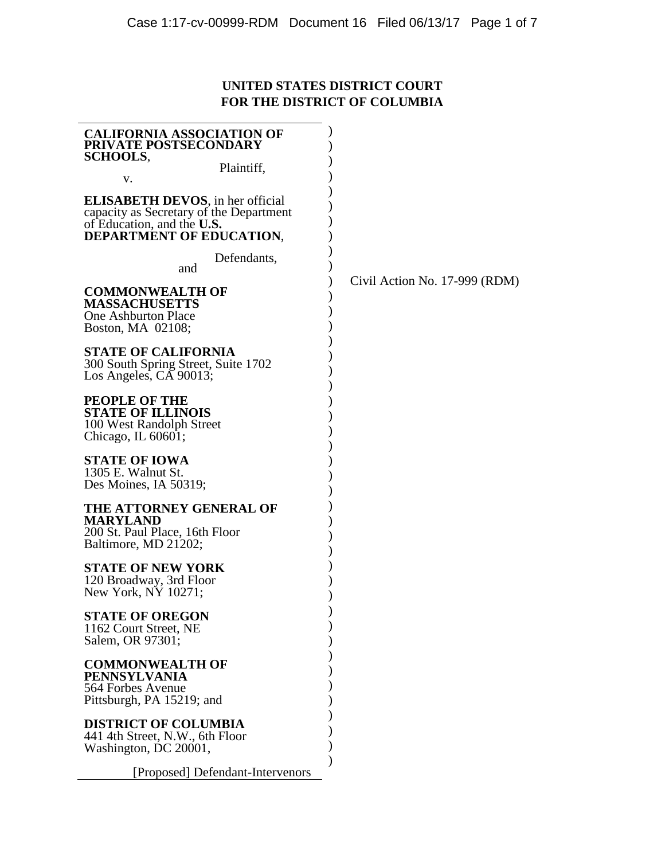## **UNITED STATES DISTRICT COURT FOR THE DISTRICT OF COLUMBIA**

| <b>CALIFORNIA ASSOCIATION OF</b><br>PRIVATE POSTSECONDARY<br><b>SCHOOLS,</b><br>Plaintiff,<br>V.                                             |                               |
|----------------------------------------------------------------------------------------------------------------------------------------------|-------------------------------|
| <b>ELISABETH DEVOS, in her official</b><br>capacity as Secretary of the Department<br>of Education, and the U.S.<br>DEPARTMENT OF EDUCATION, |                               |
| Defendants,<br>and                                                                                                                           |                               |
| <b>COMMONWEALTH OF</b><br><b>MASSACHUSETTS</b><br><b>One Ashburton Place</b><br>Boston, MA 02108;                                            | Civil Action No. 17-999 (RDM) |
| <b>STATE OF CALIFORNIA</b><br>300 South Spring Street, Suite 1702<br>Los Angeles, CA 90013;                                                  |                               |
| PEOPLE OF THE<br><b>STATE OF ILLINOIS</b><br>100 West Randolph Street<br>Chicago, IL $60601$ ;                                               |                               |
| <b>STATE OF IOWA</b><br>1305 E. Walnut St.<br>Des Moines, IA 50319;                                                                          |                               |
| THE ATTORNEY GENERAL OF<br><b>MARYLAND</b><br>200 St. Paul Place, 16th Floor<br>Baltimore, MD 21202;                                         |                               |
| <b>STATE OF NEW YORK</b><br>120 Broadway, 3rd Floor<br>New York, NY 10271;                                                                   |                               |
| <b>STATE OF OREGON</b><br>1162 Court Street, NE<br>Salem, OR 97301;                                                                          |                               |
| <b>COMMONWEALTH OF</b><br><b>PENNSYLVANIA</b><br>564 Forbes Avenue<br>Pittsburgh, PA 15219; and                                              |                               |
| <b>DISTRICT OF COLUMBIA</b><br>441 4th Street, N.W., 6th Floor<br>Washington, DC 20001,                                                      |                               |
| [Proposed] Defendant-Intervenors                                                                                                             |                               |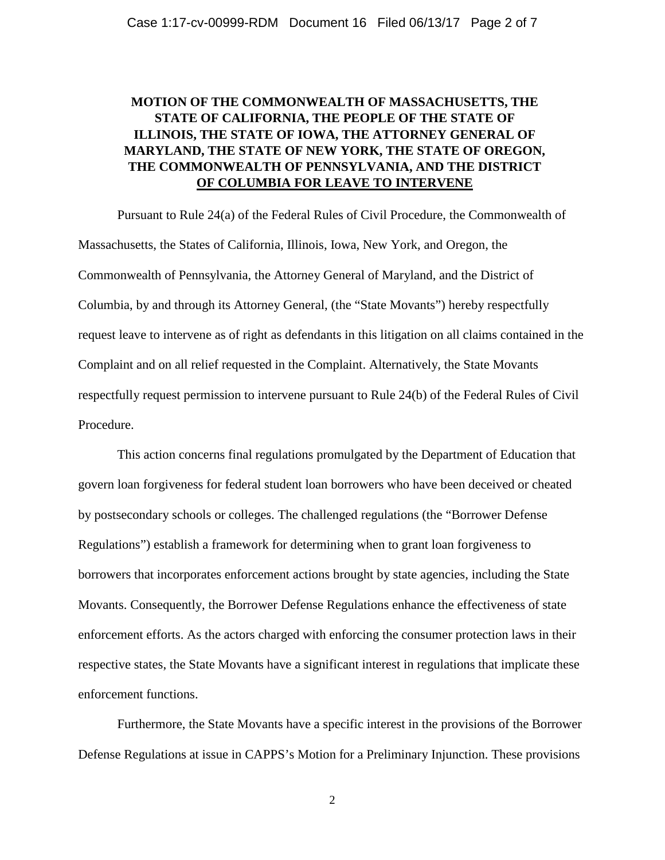### **MOTION OF THE COMMONWEALTH OF MASSACHUSETTS, THE STATE OF CALIFORNIA, THE PEOPLE OF THE STATE OF ILLINOIS, THE STATE OF IOWA, THE ATTORNEY GENERAL OF MARYLAND, THE STATE OF NEW YORK, THE STATE OF OREGON, THE COMMONWEALTH OF PENNSYLVANIA, AND THE DISTRICT OF COLUMBIA FOR LEAVE TO INTERVENE**

Pursuant to Rule 24(a) of the Federal Rules of Civil Procedure, the Commonwealth of Massachusetts, the States of California, Illinois, Iowa, New York, and Oregon, the Commonwealth of Pennsylvania, the Attorney General of Maryland, and the District of Columbia, by and through its Attorney General, (the "State Movants") hereby respectfully request leave to intervene as of right as defendants in this litigation on all claims contained in the Complaint and on all relief requested in the Complaint. Alternatively, the State Movants respectfully request permission to intervene pursuant to Rule 24(b) of the Federal Rules of Civil Procedure.

This action concerns final regulations promulgated by the Department of Education that govern loan forgiveness for federal student loan borrowers who have been deceived or cheated by postsecondary schools or colleges. The challenged regulations (the "Borrower Defense Regulations") establish a framework for determining when to grant loan forgiveness to borrowers that incorporates enforcement actions brought by state agencies, including the State Movants. Consequently, the Borrower Defense Regulations enhance the effectiveness of state enforcement efforts. As the actors charged with enforcing the consumer protection laws in their respective states, the State Movants have a significant interest in regulations that implicate these enforcement functions.

Furthermore, the State Movants have a specific interest in the provisions of the Borrower Defense Regulations at issue in CAPPS's Motion for a Preliminary Injunction. These provisions

2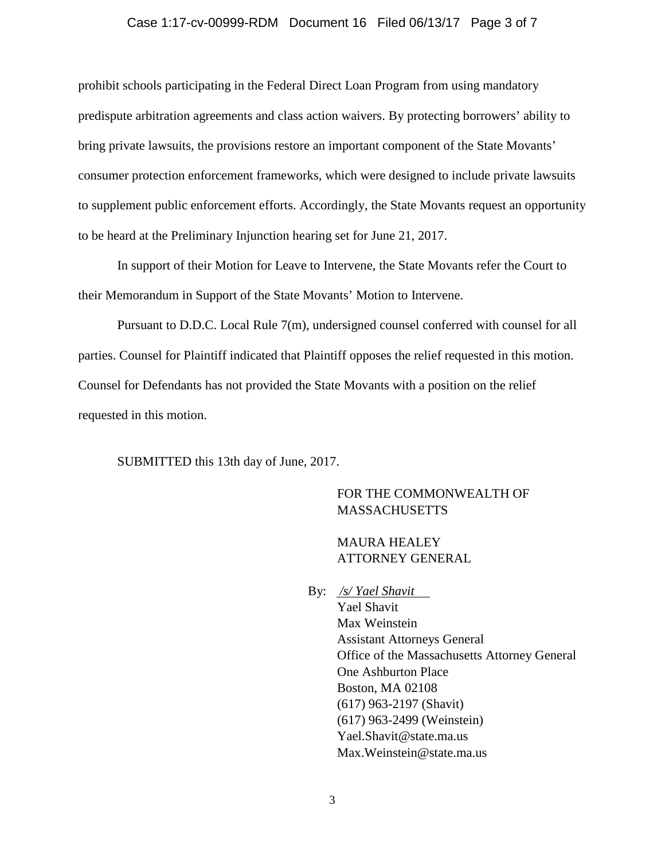#### Case 1:17-cv-00999-RDM Document 16 Filed 06/13/17 Page 3 of 7

prohibit schools participating in the Federal Direct Loan Program from using mandatory predispute arbitration agreements and class action waivers. By protecting borrowers' ability to bring private lawsuits, the provisions restore an important component of the State Movants' consumer protection enforcement frameworks, which were designed to include private lawsuits to supplement public enforcement efforts. Accordingly, the State Movants request an opportunity to be heard at the Preliminary Injunction hearing set for June 21, 2017.

In support of their Motion for Leave to Intervene, the State Movants refer the Court to their Memorandum in Support of the State Movants' Motion to Intervene.

Pursuant to D.D.C. Local Rule 7(m), undersigned counsel conferred with counsel for all parties. Counsel for Plaintiff indicated that Plaintiff opposes the relief requested in this motion. Counsel for Defendants has not provided the State Movants with a position on the relief requested in this motion.

SUBMITTED this 13th day of June, 2017.

### FOR THE COMMONWEALTH OF MASSACHUSETTS

### MAURA HEALEY ATTORNEY GENERAL

By: */s/ Yael Shavit* Yael Shavit Max Weinstein Assistant Attorneys General Office of the Massachusetts Attorney General One Ashburton Place Boston, MA 02108 (617) 963-2197 (Shavit) (617) 963-2499 (Weinstein) Yael.Shavit@state.ma.us Max.Weinstein@state.ma.us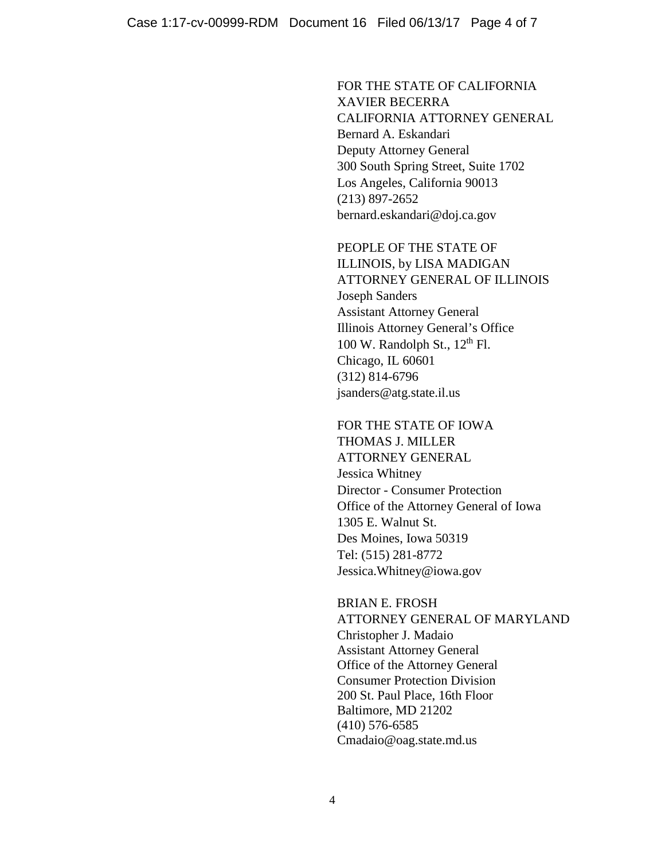FOR THE STATE OF CALIFORNIA XAVIER BECERRA CALIFORNIA ATTORNEY GENERAL Bernard A. Eskandari Deputy Attorney General 300 South Spring Street, Suite 1702 Los Angeles, California 90013 (213) 897-2652 bernard.eskandari@doj.ca.gov

PEOPLE OF THE STATE OF ILLINOIS, by LISA MADIGAN ATTORNEY GENERAL OF ILLINOIS Joseph Sanders Assistant Attorney General Illinois Attorney General's Office 100 W. Randolph St.,  $12^{th}$  Fl. Chicago, IL 60601 (312) 814-6796 jsanders@atg.state.il.us

FOR THE STATE OF IOWA THOMAS J. MILLER ATTORNEY GENERAL Jessica Whitney Director - Consumer Protection Office of the Attorney General of Iowa 1305 E. Walnut St. Des Moines, Iowa 50319 Tel: (515) 281-8772 Jessica.Whitney@iowa.gov

BRIAN E. FROSH ATTORNEY GENERAL OF MARYLAND Christopher J. Madaio Assistant Attorney General Office of the Attorney General Consumer Protection Division 200 St. Paul Place, 16th Floor Baltimore, MD 21202 (410) 576-6585 Cmadaio@oag.state.md.us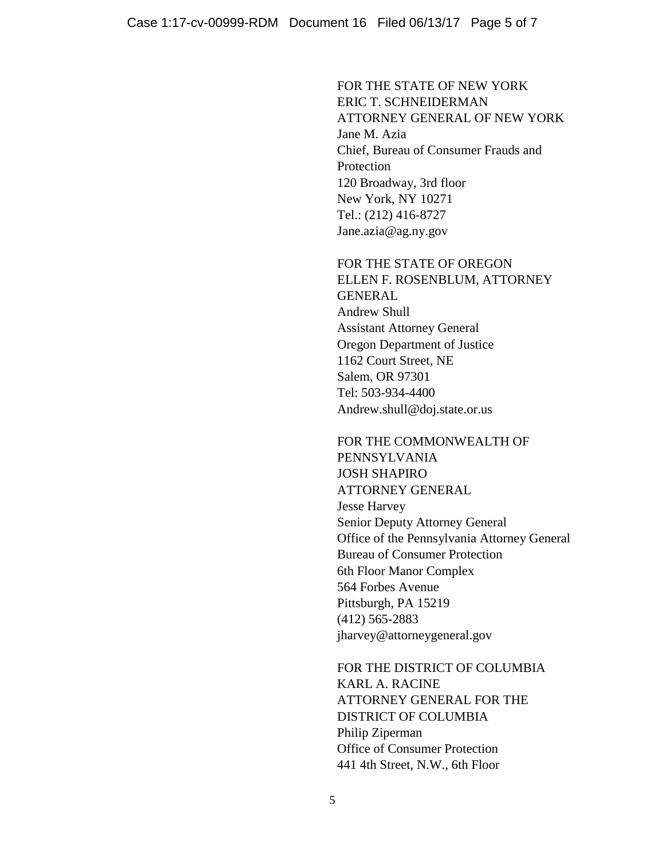FOR THE STATE OF NEW YORK ERIC T. SCHNEIDERMAN ATTORNEY GENERAL OF NEW YORK Jane M. Azia Chief, Bureau of Consumer Frauds and **Protection** 120 Broadway, 3rd floor New York, NY 10271 Tel.: (212) 416-8727 Jane.azia@ag.ny.gov

FOR THE STATE OF OREGON ELLEN F. ROSENBLUM, ATTORNEY GENERAL Andrew Shull Assistant Attorney General Oregon Department of Justice 1162 Court Street, NE Salem, OR 97301 Tel: 503-934-4400 Andrew.shull@doj.state.or.us

FOR THE COMMONWEALTH OF PENNSYLVANIA JOSH SHAPIRO ATTORNEY GENERAL Jesse Harvey Senior Deputy Attorney General Office of the Pennsylvania Attorney General Bureau of Consumer Protection 6th Floor Manor Complex 564 Forbes Avenue Pittsburgh, PA 15219 (412) 565-2883 jharvey@attorneygeneral.gov

FOR THE DISTRICT OF COLUMBIA KARL A. RACINE ATTORNEY GENERAL FOR THE DISTRICT OF COLUMBIA Philip Ziperman Office of Consumer Protection 441 4th Street, N.W., 6th Floor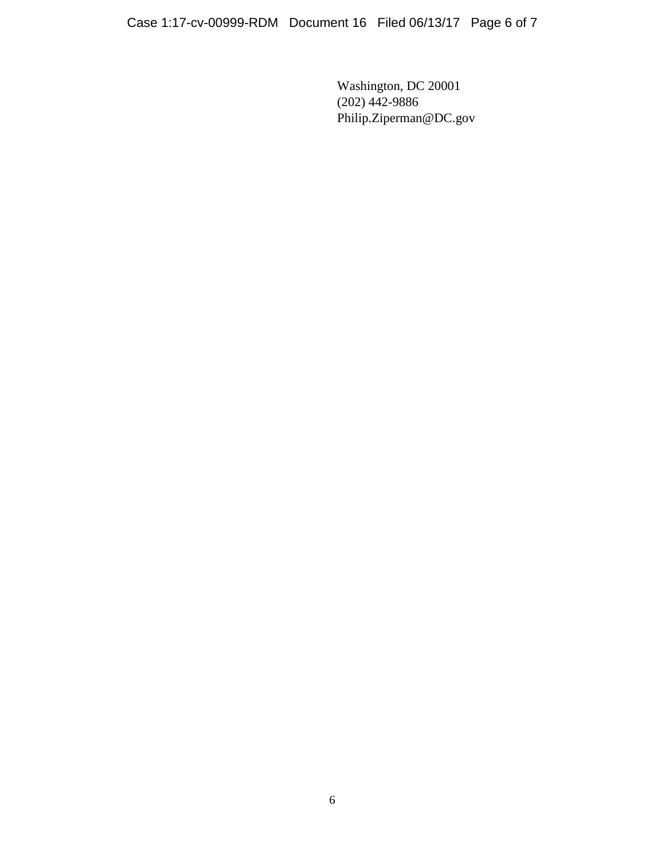Washington, DC 20001 (202) 442-9886 Philip.Ziperman@DC.gov